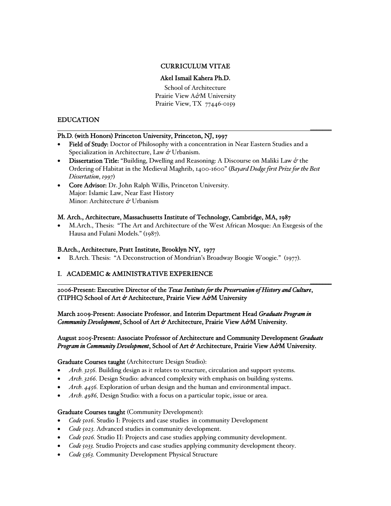## CURRICULUM VITAE

# Akel Ismail Kahera Ph.D.

School of Architecture Prairie View A*&*M University Prairie View, TX 77446-0159

\_\_\_\_\_\_\_

## EDUCATION

## Ph.D*.* (with Honors) Princeton University, Princeton, NJ, 1997

- Field of Study: Doctor of Philosophy with a concentration in Near Eastern Studies and a Specialization in Architecture, Law *&* Urbanism.
- Dissertation Title: "Building, Dwelling and Reasoning: A Discourse on Maliki Law *&* the Ordering of Habitat in the Medieval Maghrib, 1400-1600" (*Bayard Dodge first Prize for the Best Dissertation*, *1997*)
- Core Advisor: Dr. John Ralph Willis, Princeton University. Major: Islamic Law, Near East History Minor: Architecture *&* Urbanism

### M. Arch., Architecture, Massachusetts Institute of Technology, Cambridge, MA, 1987

• M.Arch., Thesis: "The Art and Architecture of the West African Mosque: An Exegesis of the Hausa and Fulani Models." (1987).

## B.Arch.,Architecture, Pratt Institute, Brooklyn NY, 1977

• B.Arch. Thesis: "A Deconstruction of Mondrian's Broadway Boogie Woogie." (1977).

## I. ACADEMIC & AMINISTRATIVE EXPERIENCE

2006-Present: Executive Director of the *Texas Institute for the Preservation of History and Culture*, (TIPHC) School of Art *&* Architecture, Prairie View A*&*M University

\_\_\_\_\_\_\_

March 2009-Present: Associate Professor, and Interim Department Head *Graduate Program in Community Development*, School of Art *&* Architecture, Prairie View A*&*M University.

### August 2005-Present: Associate Professor of Architecture and Community Development *Graduate Program in Community Development*, School of Art *&* Architecture, Prairie View A*&*M University.

#### Graduate Courses taught (Architecture Design Studio):

- *Arch. 3256.* Building design as it relates to structure, circulation and support systems.
- *Arch. 3266.* Design Studio: advanced complexity with emphasis on building systems.
- *Arch. 4456.* Exploration of urban design and the human and environmental impact.
- *Arch. 4986.* Design Studio: with a focus on a particular topic, issue or area.

#### Graduate Courses taught (Community Development):

- *Code 5016.* Studio I: Projects and case studies in community Development
- *Code 5023.* Advanced studies in community development.
- *Code 5026.* Studio II: Projects and case studies applying community development.
- *Code 5033.* Studio Projects and case studies applying community development theory.
- *Code 5363.* Community Development Physical Structure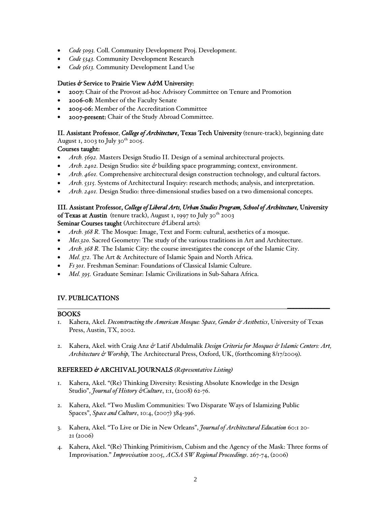- *Code 5093.* Coll. Community Development Proj. Development.
- *Code 5343.* Community Development Research
- *Code 5613.* Community Development Land Use

### Duties *&* Service to Prairie View A*&*M University:

- 2007: Chair of the Provost ad-hoc Advisory Committee on Tenure and Promotion
- 2006-08: Member of the Faculty Senate
- 2005-06: Member of the Accreditation Committee
- 2007-present: Chair of the Study Abroad Committee.

## II. Assistant Professor, *College of Architecture*, Texas Tech University (tenure-track), beginning date

August 1, 2003 to July  $30^{th}$  2005.

### Courses taught:

- *Arch. 5692.* Masters Design Studio II. Design of a seminal architectural projects.
- *Arch. 2402.* Design Studio: site *&* building space programming; context, environment.
- *Arch. 4601.* Comprehensive architectural design construction technology, and cultural factors.
- *Arch. 5315.* Systems of Architectural Inquiry: research methods; analysis, and interpretation.
- *Arch. 2401.* Design Studio: three-dimensional studies based on a two dimensional concepts.

### III. Assistant Professor, *College of Liberal Arts, Urban Studies Program, School of Architecture,* University

of Texas at Austin (tenure track), August 1, 1997 to July 30<sup>th</sup> 2003 Seminar Courses taught (Architecture *&*Liberal arts):

- *Arch. 368 R.* The Mosque: Image, Text and Form: cultural, aesthetics of a mosque.
- *Mes.320.* Sacred Geometry: The study of the various traditions in Art and Architecture.
- *Arch. 368 R.* The Islamic City: the course investigates the concept of the Islamic City.
- *Mel. 372.* The Art & Architecture of Islamic Spain and North Africa.
- *Fs 301.* Freshman Seminar: Foundations of Classical Islamic Culture.
- *Mel. 395.* Graduate Seminar: Islamic Civilizations in Sub-Sahara Africa.

## IV. PUBLICATIONS

#### BOOKS

1. Kahera, Akel. *Deconstructing the American Mosque: Space, Gender & Aesthetics*, University of Texas Press, Austin, TX, 2002.

\_\_\_\_\_\_\_\_\_\_\_\_\_\_

2. Kahera, Akel. with Craig Anz *&* Latif Abdulmalik *Design Criteria for Mosques & Islamic Centers: Art, Architecture & Worship,* The Architectural Press, Oxford, UK, (forthcoming 8/17/2009).

## REFEREED *&* ARCHIVAL JOURNALS *(Representative Listing)*

- 1. Kahera, Akel. "(Re) Thinking Diversity: Resisting Absolute Knowledge in the Design Studio", *Journal of History &Culture*, 1:1, (2008) 62-76.
- 2. Kahera, Akel. "Two Muslim Communities: Two Disparate Ways of Islamizing Public Spaces", *Space and Culture*, 10:4, (2007) 384-396.
- 3. Kahera, Akel. "To Live or Die in New Orleans", *Journal of Architectural Education* 60:1 20- 21 (2006)
- 4. Kahera, Akel. "(Re) Thinking Primitivism, Cubism and the Agency of the Mask: Three forms of Improvisation." *Improvisation* 2005, *ACSA SW Regional Proceedings*. 267-74, (2006)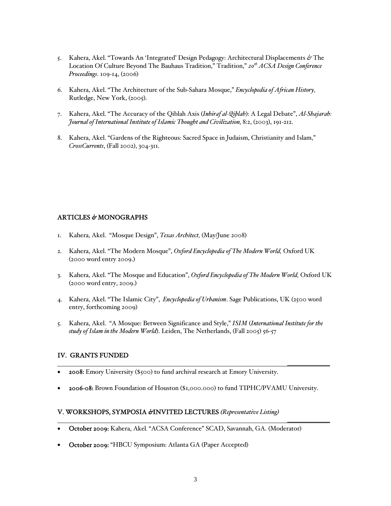- 5. Kahera, Akel. "Towards An 'Integrated' Design Pedagogy: Architectural Displacements *&* The Location Of Culture Beyond The Bauhaus Tradition," Tradition," *20th ACSA Design Conference Proceedings*. 109-14, (2006)
- 6. Kahera, Akel. "The Architecture of the Sub-Sahara Mosque," *Encyclopedia of African History,* Rutledge, New York, (2005).
- 7. Kahera, Akel. "The Accuracy of the Qiblah Axis (*Inhiraf al-Qiblah*): A Legal Debate", *Al-Shajarah: Journal of International Institute of Islamic Thought and Civilization,* 8:2, (2003), 191-212.
- 8. Kahera, Akel. "Gardens of the Righteous: Sacred Space in Judaism, Christianity and Islam," *CrossCurrents*, (Fall 2002), 304-311.

### ARTICLES *&* MONOGRAPHS

- 1. Kahera, Akel. "Mosque Design", *Texas Architect,* (May/June 2008)
- 2. Kahera, Akel. "The Modern Mosque", *Oxford Encyclopedia of The Modern World,* Oxford UK (2000 word entry 2009.)
- 3. Kahera, Akel. "The Mosque and Education", *Oxford Encyclopedia of The Modern World,* Oxford UK (2000 word entry, 2009.)
- 4. Kahera, Akel. "The Islamic City", *Encyclopedia of Urbanism*. Sage Publications, UK (2500 word entry, forthcoming 2009)
- 5. Kahera, Akel. "A Mosque: Between Significance and Style," *ISIM* (*International Institute for the study of Islam in the Modern World*). Leiden, The Netherlands, (Fall 2005) 56-57

#### IV. GRANTS FUNDED

- 2008: Emory University (\$500) to fund archival research at Emory University.
- 2006-08: Brown Foundation of Houston (\$1,000.000) to fund TIPHC/PVAMU University.

\_\_\_\_\_\_\_\_\_\_\_\_\_\_

\_\_\_\_\_\_\_\_\_\_\_\_\_\_

#### V. WORKSHOPS, SYMPOSIA *&*INVITED LECTURES *(Representative Listing)*

- October 2009: Kahera, Akel*.* "ACSA Conference" SCAD, Savannah, GA. (Moderator)
- October 2009: "HBCU Symposium: Atlanta GA (Paper Accepted)